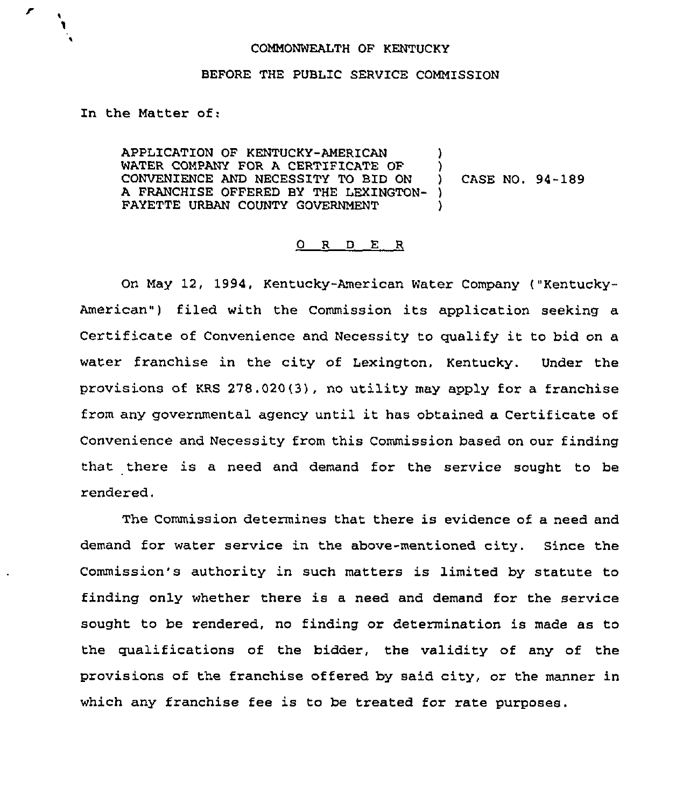## COMMONWEALTH OF KENTUCKY

## BEFORE THE PUBLIC SERVICE COMMISSION

In the Matter of:

r

APPLICATION OF KENTUCKY-AMERICAN )<br>WATER COMPANY FOR A CERTIFICATE OF ) WATER COMPANY FOR A CERTIFICATE OF  $\qquad$  )<br>CONVENIENCE AND NECESSITY TO BID ON  $\qquad$  ) CONVENIENCE AND NECESSITY TO BID ON ) A FRANCHISE OFFERED BY THE LEXINGTON- ) FAYETTE URBAN COUNTY GOVERNMENT CASE NO. 94-189

## 0 <sup>R</sup> <sup>D</sup> E <sup>R</sup>

On May 12, 1994. Kentucky-American Water Company ("Kentucky-American") filed with the Commission its application seeking a Certificate of Convenience and Necessity to qualify it to bid on <sup>a</sup> water franchise in the city of Lexington, Kentucky. Under the provisions of KRS 278.020(3), no utility may apply for a franchise from any governmental agency until it has obtained a Certificate of Convenience and Necessity from this Commission based on our finding that there is a need and demand for the service sought to be rendered.

The Commission determines that there is evidence of a need and demand for water service in the above-mentioned city. Since the Commission's authority in such matters is limited by statute to finding only whether there is a need and demand for the service sought to be rendered, no finding or determination is made as to the qualifications of the bidder, the validity of any of the provisions of the franchise offered by said city, or the manner in which any franchise fee is to be treated for rate purposes.